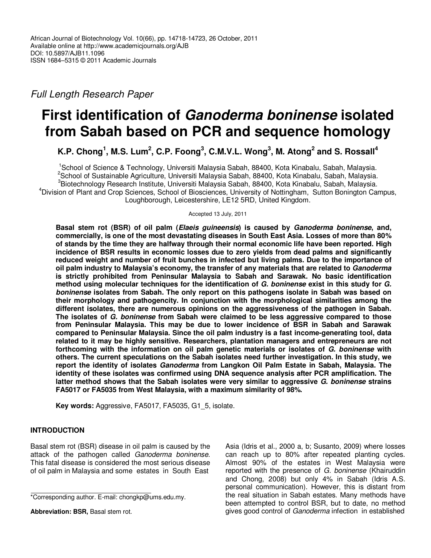Full Length Research Paper

# **First identification of Ganoderma boninense isolated from Sabah based on PCR and sequence homology**

**K.P. Chong<sup>1</sup> , M.S. Lum<sup>2</sup> , C.P. Foong<sup>3</sup> , C.M.V.L. Wong<sup>3</sup> , M. Atong<sup>2</sup> and S. Rossall<sup>4</sup>**

<sup>1</sup>School of Science & Technology, Universiti Malaysia Sabah, 88400, Kota Kinabalu, Sabah, Malaysia. <sup>2</sup>School of Sustainable Agriculture, Universiti Malaysia Sabah, 88400, Kota Kinabalu, Sabah, Malaysia. <sup>3</sup>Biotechnology Research Institute, Universiti Malaysia Sabah, 88400, Kota Kinabalu, Sabah, Malaysia. <sup>4</sup>Division of Plant and Crop Sciences, School of Biosciences, University of Nottingham, Sutton Bonington Campus, Loughborough, Leicestershire, LE12 5RD, United Kingdom.

Accepted 13 July, 2011

**Basal stem rot (BSR) of oil palm (Elaeis guineensis) is caused by Ganoderma boninense, and, commercially, is one of the most devastating diseases in South East Asia. Losses of more than 80% of stands by the time they are halfway through their normal economic life have been reported. High incidence of BSR results in economic losses due to zero yields from dead palms and significantly reduced weight and number of fruit bunches in infected but living palms. Due to the importance of oil palm industry to Malaysia's economy, the transfer of any materials that are related to Ganoderma is strictly prohibited from Peninsular Malaysia to Sabah and Sarawak. No basic identification method using molecular techniques for the identification of G. boninense exist in this study for G. boninense isolates from Sabah. The only report on this pathogens isolate in Sabah was based on their morphology and pathogencity. In conjunction with the morphological similarities among the different isolates, there are numerous opinions on the aggressiveness of the pathogen in Sabah. The isolates of G. boninense from Sabah were claimed to be less aggressive compared to those from Peninsular Malaysia. This may be due to lower incidence of BSR in Sabah and Sarawak compared to Peninsular Malaysia. Since the oil palm industry is a fast income-generating tool, data related to it may be highly sensitive. Researchers, plantation managers and entrepreneurs are not forthcoming with the information on oil palm genetic materials or isolates of G. boninense with others. The current speculations on the Sabah isolates need further investigation. In this study, we report the identity of isolates Ganoderma from Langkon Oil Palm Estate in Sabah, Malaysia. The identity of these isolates was confirmed using DNA sequence analysis after PCR amplification. The latter method shows that the Sabah isolates were very similar to aggressive G. boninense strains FA5017 or FA5035 from West Malaysia, with a maximum similarity of 98%.** 

**Key words:** Aggressive, FA5017, FA5035, G1\_5, isolate.

# **INTRODUCTION**

Basal stem rot (BSR) disease in oil palm is caused by the attack of the pathogen called Ganoderma boninense. This fatal disease is considered the most serious disease of oil palm in Malaysia and some estates in South East

**Abbreviation: BSR,** Basal stem rot.

Asia (Idris et al., 2000 a, b; Susanto, 2009) where losses can reach up to 80% after repeated planting cycles. Almost 90% of the estates in West Malaysia were reported with the presence of G. boninense (Khairuddin and Chong, 2008) but only 4% in Sabah (Idris A.S. personal communication). However, this is distant from the real situation in Sabah estates. Many methods have been attempted to control BSR, but to date, no method gives good control of Ganoderma infection in established

<sup>\*</sup>Corresponding author. E-mail: chongkp@ums.edu.my.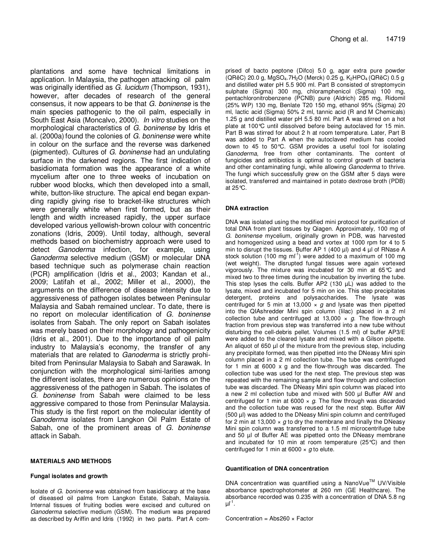plantations and some have technical limitations in application. In Malaysia, the pathogen attacking oil palm was originally identified as G. lucidum (Thompson, 1931), however, after decades of research of the general consensus, it now appears to be that G. boninense is the main species pathogenic to the oil palm, especially in South East Asia (Moncalvo, 2000). In vitro studies on the morphological characteristics of G. boninense by Idris et al. (2000a) found the colonies of G. boninense were white in colour on the surface and the reverse was darkened (pigmented). Cultures of G. boninense had an undulating surface in the darkened regions. The first indication of basidiomata formation was the appearance of a white mycelium after one to three weeks of incubation on rubber wood blocks, which then developed into a small, white, button-like structure. The apical end began expanding rapidly giving rise to bracket-like structures which were generally white when first formed, but as their length and width increased rapidly, the upper surface developed various yellowish-brown colour with concentric zonations (Idris, 2009). Until today, although, several methods based on biochemistry approach were used to detect Ganoderma infection, for example, using Ganoderma selective medium (GSM) or molecular DNA based technique such as polymerase chain reaction (PCR) amplification (Idris et al., 2003; Kandan et al., 2009; Latifah et al., 2002; Miller et al., 2000), the arguments on the difference of disease intensity due to aggressiveness of pathogen isolates between Peninsular Malaysia and Sabah remained unclear. To date, there is no report on molecular identification of G. boninense isolates from Sabah. The only report on Sabah isolates was merely based on their morphology and pathogenicity (Idris et al., 2001). Due to the importance of oil palm industry to Malaysia's economy, the transfer of any materials that are related to *Ganoderma* is strictly prohibited from Peninsular Malaysia to Sabah and Sarawak. In conjunction with the morphological simi-larities among the different isolates, there are numerous opinions on the aggressiveness of the pathogen in Sabah. The isolates of G. boninense from Sabah were claimed to be less aggressive compared to those from Peninsular Malaysia. This study is the first report on the molecular identity of Ganoderma isolates from Langkon Oil Palm Estate of Sabah, one of the prominent areas of G. boninense attack in Sabah.

# **MATERIALS AND METHODS**

#### **Fungal isolates and growth**

Isolate of G. boninense was obtained from basidiocarp at the base of diseased oil palms from Langkon Estate, Sabah, Malaysia. Internal tissues of fruiting bodies were excised and cultured on Ganoderma selective medium (GSM). The medium was prepared as described by Ariffin and Idris (1992) in two parts. Part A com-

prised of bacto peptone (Difco) 5.0 g, agar extra pure powder (QRëC) 20.0 g, MgSO<sub>4</sub>.7H<sub>2</sub>O (Merck) 0.25 g, K<sub>2</sub>HPO<sub>4</sub> (QRëC) 0.5 g and distilled water pH 5.5 900 ml. Part B consisted of streptomycin sulphate (Sigma) 300 mg, chloramphenicol (Sigma) 100 mg, pentachloronitrobenzene (PCNB) pure (Aldrich) 285 mg, Ridomil (25% WP) 130 mg, Benlate T20 150 mg, ethanol 95% (Sigma) 20 ml, lactic acid (Sigma) 50% 2 ml, tannic acid (R and M Chemicals) 1.25 g and distilled water pH 5.5 80 ml. Part A was stirred on a hot plate at 100°C until dissolved before being autoclaved for 15 min. Part B was stirred for about 2 h at room temperature. Later, Part B was added to Part A when the autoclaved medium has cooled down to 45 to 50°C. GSM provides a useful tool for isolating Ganoderma, free from other contaminants. The content of fungicides and antibiotics is optimal to control growth of bacteria and other contaminating fungi, while allowing Ganoderma to thrive. The fungi which successfully grew on the GSM after 5 days were isolated, transferred and maintained in potato dextrose broth (PDB) at 25°C.

# **DNA extraction**

DNA was isolated using the modified mini protocol for purification of total DNA from plant tissues by Qiagen. Approximately, 100 mg of G. boninense mycelium, originally grown in PDB, was harvested and homogenized using a bead and vortex at 1000 rpm for 4 to 5 min to disrupt the tissues. Buffer AP 1 (400 µl) and 4 µl of RNase A stock solution (100 mg m $I^{-1}$ ) were added to a maximum of 100 mg (wet weight). The disrupted fungal tissues were again vortexed vigorously. The mixture was incubated for 30 min at 65°C and mixed two to three times during the incubation by inverting the tube. This step lyses the cells. Buffer AP2 (130 µL) was added to the lysate, mixed and incubated for 5 min on ice. This step precipitates detergent, proteins and polysaccharides. The lysate was centrifuged for 5 min at 13,000  $\times$  g and lysate was then pipetted into the QIAshredder Mini spin column (lilac) placed in a 2 ml collection tube and centrifuged at  $13,000 \times g$ . The flow-through fraction from previous step was transferred into a new tube without disturbing the cell-debris pellet. Volumes (1.5 ml) of buffer AP3/E were added to the cleared lysate and mixed with a Gilson pipette. An aliquot of 650  $\mu$  of the mixture from the previous step, including any precipitate formed, was then pipetted into the DNeasy Mini spin column placed in a 2 ml collection tube. The tube was centrifuged for 1 min at 6000 x g and the flow-through was discarded. The collection tube was used for the next step. The previous step was repeated with the remaining sample and flow through and collection tube was discarded. The DNeasy Mini spin column was placed into a new 2 ml collection tube and mixed with 500 µl Buffer AW and centrifuged for 1 min at 6000  $\times$  g. The flow through was discarded and the collection tube was reused for the next step. Buffer AW (500 µl) was added to the DNeasy Mini spin column and centrifuged for 2 min at 13,000  $\times$  g to dry the membrane and finally the DNeasy Mini spin column was transferred to a 1.5 ml microcentrifuge tube and 50 µl of Buffer AE was pipetted onto the DNeasy membrane and incubated for 10 min at room temperature (25°C) and then centrifuged for 1 min at 6000  $\times$  g to elute.

### **Quantification of DNA concentration**

DNA concentration was quantified using a NanoVue™ UV/Visible absorbance spectrophotometer at 260 nm (GE Healthcare). The absorbance recorded was 0.235 with a concentration of DNA 5.8 ng  $\mu$ l $^{-1}$ .

Concentration =  $Abs260 \times Factor$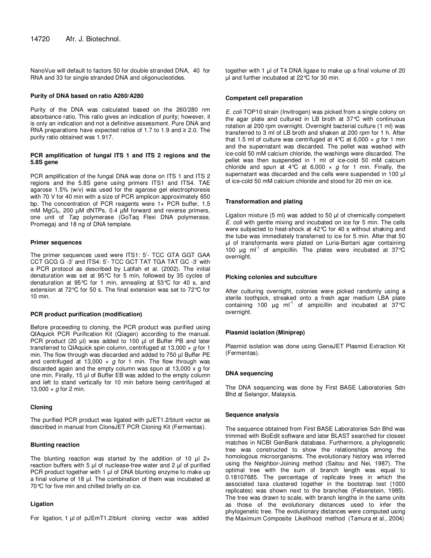NanoVue will default to factors 50 for double stranded DNA, 40 for RNA and 33 for single stranded DNA and oligonucleotides.

### **Purity of DNA based on ratio A260/A280**

Purity of the DNA was calculated based on the 260/280 nm absorbance ratio. This ratio gives an indication of purity; however, it is only an indication and not a definitive assessment. Pure DNA and RNA preparations have expected ratios of 1.7 to 1.9 and  $\geq$  2.0. The purity ratio obtained was 1.917.

#### **PCR amplification of fungal ITS 1 and ITS 2 regions and the 5.8S gene**

PCR amplification of the fungal DNA was done on ITS 1 and ITS 2 regions and the 5.8S gene using primers ITS1 and ITS4. TAE agarose 1.5% (w/v) was used for the agarose gel electrophoresis with 70 V for 40 min with a size of PCR amplicon approximately 650 bp. The concentration of PCR reagents were 1× PCR buffer, 1.5 mM MgCl<sub>2</sub>, 200 μM dNTPs, 0.4 μM forward and reverse primers, one unit of Taq polymerase (GoTaq Flexi DNA polymerase, Promega) and 18 ng of DNA template.

#### **Primer sequences**

The primer sequences used were ITS1: 5'- TCC GTA GGT GAA CCT GCG G -3' and ITS4: 5'- TCC GCT TAT TGA TAT GC -3' with a PCR protocol as described by Latifah et al. (2002). The initial denaturation was set at 95°C for 5 min, followed by 35 cycles of denaturation at 95°C for 1 min, annealing at 53°C for 40 s, and extension at 72°C for 50 s. The final extension was set to 72°C for 10 min.

# **PCR product purification (modification)**

Before proceeding to cloning, the PCR product was purified using QIAquick PCR Purification Kit (Qiagen) according to the manual. PCR product (20 µl) was added to 100 µl of Buffer PB and later transferred to QIAquick spin column, centrifuged at  $13,000 \times q$  for 1 min. The flow through was discarded and added to 750 µl Buffer PE and centrifuged at 13,000  $\times$  g for 1 min. The flow through was discarded again and the empty column was spun at 13,000 x g for one min. Finally, 15 µl of Buffer EB was added to the empty column and left to stand vertically for 10 min before being centrifuged at 13,000  $\times$  q for 2 min.

#### **Cloning**

The purified PCR product was ligated with pJET1.2/blunt vector as described in manual from CloneJET PCR Cloning Kit (Fermentas).

# **Blunting reaction**

The blunting reaction was started by the addition of 10  $\mu$ l 2 $\times$ reaction buffers with 5 µl of nuclease-free water and 2 µl of purified PCR product together with 1 µl of DNA blunting enzyme to make up a final volume of 18 µl. The combination of them was incubated at 70 ℃ for five min and chilled briefly on ice.

# **Ligation**

For ligation, 1 µl of pJEmT1.2/blunt cloning vector was added

together with 1 µl of T4 DNA ligase to make up a final volume of 20 µl and further incubated at 22 ℃ for 30 min.

#### **Competent cell preparation**

E. coli TOP10 strain (Invitrogen) was picked from a single colony on the agar plate and cultured in LB broth at 37°C with continuous rotation at 200 rpm overnight. Overnight bacterial culture (1 ml) was transferred to 3 ml of LB broth and shaken at 200 rpm for 1 h. After that 1.5 ml of culture was centrifuged at 4 °C at 6,000  $\times$  g for 1 min and the supernatant was discarded. The pellet was washed with ice-cold 50 mM calcium chloride, the washings were discarded. The pellet was then suspended in 1 ml of ice-cold 50 mM calcium chloride and spun at 4°C at 6,000  $\times$  g for 1 min. Finally, the supernatant was discarded and the cells were suspended in 100 µl of ice-cold 50 mM calcium chloride and stood for 20 min on ice.

# **Transformation and plating**

Ligation mixture (5 ml) was added to 50 µl of chemically competent E. coli with gentle mixing and incubated on ice for 5 min. The cells were subjected to heat-shock at 42°C for 40 s without shaking and the tube was immediately transferred to ice for 5 min. After that 50 µl of transformants were plated on Luria-Bertani agar containing 100  $\mu$ g ml<sup>-1</sup> of ampicillin. The plates were incubated at 37 $\degree$ C overnight.

#### **Picking colonies and subculture**

After culturing overnight, colonies were picked randomly using a sterile toothpick, streaked onto a fresh agar medium LBA plate containing 100  $\mu$ g ml<sup>-1</sup> of ampicillin and incubated at 37 $\degree$ C overnight.

# **Plasmid isolation (Miniprep)**

Plasmid isolation was done using GeneJET Plasmid Extraction Kit (Fermentas).

# **DNA sequencing**

The DNA sequencing was done by First BASE Laboratories Sdn Bhd at Selangor, Malaysia.

#### **Sequence analysis**

The sequence obtained from First BASE Laboratories Sdn Bhd was trimmed with BioEdit software and later BLAST searched for closest matches in NCBI GenBank database. Furthermore, a phylogenetic tree was constructed to show the relationships among the homologous microorganisms. The evolutionary history was inferred using the Neighbor-Joining method (Saitou and Nei, 1987). The optimal tree with the sum of branch length was equal to 0.18107685. The percentage of replicate trees in which the associated taxa clustered together in the bootstrap test (1000 replicates) was shown next to the branches (Felsenstein, 1985). The tree was drawn to scale, with branch lengths in the same units as those of the evolutionary distances used to infer the phylogenetic tree. The evolutionary distances were computed using the Maximum Composite Likelihood method (Tamura et al., 2004)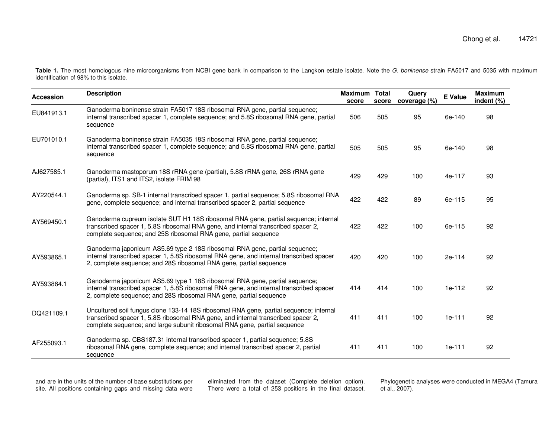Table 1. The most homologous nine microorganisms from NCBI gene bank in comparison to the Langkon estate isolate. Note the G. boninense strain FA5017 and 5035 with maximum identification of 98% to this isolate.

| <b>Accession</b> | <b>Description</b>                                                                                                                                                                                                                                       | <b>Maximum</b><br>score | <b>Total</b><br>score | Query<br>coverage (%) | E Value | <b>Maximum</b><br>indent (%) |
|------------------|----------------------------------------------------------------------------------------------------------------------------------------------------------------------------------------------------------------------------------------------------------|-------------------------|-----------------------|-----------------------|---------|------------------------------|
| EU841913.1       | Ganoderma boninense strain FA5017 18S ribosomal RNA gene, partial sequence;<br>internal transcribed spacer 1, complete sequence; and 5.8S ribosomal RNA gene, partial<br>sequence                                                                        | 506                     | 505                   | 95                    | 6e-140  | 98                           |
| EU701010.1       | Ganoderma boninense strain FA5035 18S ribosomal RNA gene, partial sequence;<br>internal transcribed spacer 1, complete sequence; and 5.8S ribosomal RNA gene, partial<br>sequence                                                                        | 505                     | 505                   | 95                    | 6e-140  | 98                           |
| AJ627585.1       | Ganoderma mastoporum 18S rRNA gene (partial), 5.8S rRNA gene, 26S rRNA gene<br>(partial), ITS1 and ITS2, isolate FRIM 98                                                                                                                                 | 429                     | 429                   | 100                   | 4e-117  | 93                           |
| AY220544.1       | Ganoderma sp. SB-1 internal transcribed spacer 1, partial sequence; 5.8S ribosomal RNA<br>gene, complete sequence; and internal transcribed spacer 2, partial sequence                                                                                   | 422                     | 422                   | 89                    | 6e-115  | 95                           |
| AY569450.1       | Ganoderma cupreum isolate SUT H1 18S ribosomal RNA gene, partial sequence; internal<br>transcribed spacer 1, 5.8S ribosomal RNA gene, and internal transcribed spacer 2,<br>complete sequence; and 25S ribosomal RNA gene, partial sequence              | 422                     | 422                   | 100                   | 6e-115  | 92                           |
| AY593865.1       | Ganoderma japonicum AS5.69 type 2 18S ribosomal RNA gene, partial sequence;<br>internal transcribed spacer 1, 5.8S ribosomal RNA gene, and internal transcribed spacer<br>2, complete sequence; and 28S ribosomal RNA gene, partial sequence             | 420                     | 420                   | 100                   | 2e-114  | 92                           |
| AY593864.1       | Ganoderma japonicum AS5.69 type 1 18S ribosomal RNA gene, partial sequence;<br>internal transcribed spacer 1, 5.8S ribosomal RNA gene, and internal transcribed spacer<br>2, complete sequence; and 28S ribosomal RNA gene, partial sequence             | 414                     | 414                   | 100                   | 1e-112  | 92                           |
| DQ421109.1       | Uncultured soil fungus clone 133-14 18S ribosomal RNA gene, partial sequence; internal<br>transcribed spacer 1, 5.8S ribosomal RNA gene, and internal transcribed spacer 2,<br>complete sequence; and large subunit ribosomal RNA gene, partial sequence | 411                     | 411                   | 100                   | 1e-111  | 92                           |
| AF255093.1       | Ganoderma sp. CBS187.31 internal transcribed spacer 1, partial sequence; 5.8S<br>ribosomal RNA gene, complete sequence; and internal transcribed spacer 2, partial<br>sequence                                                                           | 411                     | 411                   | 100                   | 1e-111  | 92                           |

and are in the units of the number of base substitutions per site. All positions containing gaps and missing data were eliminated from the dataset (Complete deletion option). There were a total of 253 positions in the final dataset. Phylogenetic analyses were conducted in MEGA4 (Tamura et al., 2007).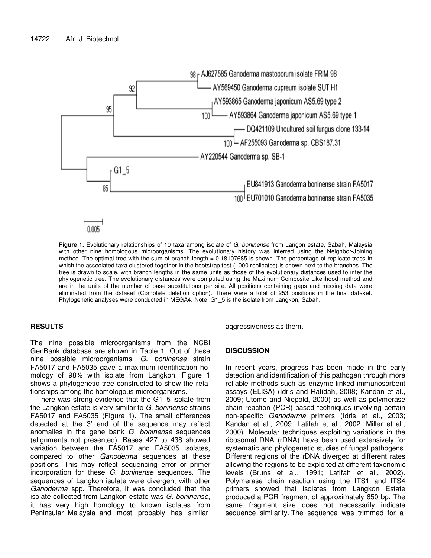

**Figure 1.** Evolutionary relationships of 10 taxa among isolate of G. boninense from Langon estate, Sabah, Malaysia with other nine homologous microorganisms. The evolutionary history was inferred using the Neighbor-Joining method. The optimal tree with the sum of branch length = 0.18107685 is shown. The percentage of replicate trees in which the associated taxa clustered together in the bootstrap test (1000 replicates) is shown next to the branches. The tree is drawn to scale, with branch lengths in the same units as those of the evolutionary distances used to infer the phylogenetic tree. The evolutionary distances were computed using the Maximum Composite Likelihood method and are in the units of the number of base substitutions per site. All positions containing gaps and missing data were eliminated from the dataset (Complete deletion option). There were a total of 253 positions in the final dataset. Phylogenetic analyses were conducted in MEGA4. Note: G1\_5 is the isolate from Langkon, Sabah.

# **RESULTS**

The nine possible microorganisms from the NCBI GenBank database are shown in Table 1. Out of these nine possible microorganisms, G. boninense strain FA5017 and FA5035 gave a maximum identification homology of 98% with isolate from Langkon. Figure 1 shows a phylogenetic tree constructed to show the relationships among the homologous microorganisms.

There was strong evidence that the G1\_5 isolate from the Langkon estate is very similar to G. boninense strains FA5017 and FA5035 (Figure 1). The small differences detected at the 3' end of the sequence may reflect anomalies in the gene bank G. boninense sequences (alignments not presented). Bases 427 to 438 showed variation between the FA5017 and FA5035 isolates, compared to other Ganoderma sequences at these positions. This may reflect sequencing error or primer incorporation for these G. boninense sequences. The sequences of Langkon isolate were divergent with other Ganoderma spp. Therefore, it was concluded that the isolate collected from Langkon estate was G. boninense, it has very high homology to known isolates from Peninsular Malaysia and most probably has similar

aggressiveness as them.

# **DISCUSSION**

In recent years, progress has been made in the early detection and identification of this pathogen through more reliable methods such as enzyme-linked immunosorbent assays (ELISA) (Idris and Rafidah, 2008; Kandan et al., 2009; Utomo and Niepold, 2000) as well as polymerase chain reaction (PCR) based techniques involving certain non-specific Ganoderma primers (Idris et al., 2003; Kandan et al., 2009; Latifah et al., 2002; Miller et al., 2000). Molecular techniques exploiting variations in the ribosomal DNA (rDNA) have been used extensively for systematic and phylogenetic studies of fungal pathogens. Different regions of the rDNA diverged at different rates allowing the regions to be exploited at different taxonomic levels (Bruns et al., 1991; Latifah et al., 2002). Polymerase chain reaction using the ITS1 and ITS4 primers showed that isolates from Langkon Estate produced a PCR fragment of approximately 650 bp. The same fragment size does not necessarily indicate sequence similarity. The sequence was trimmed for a